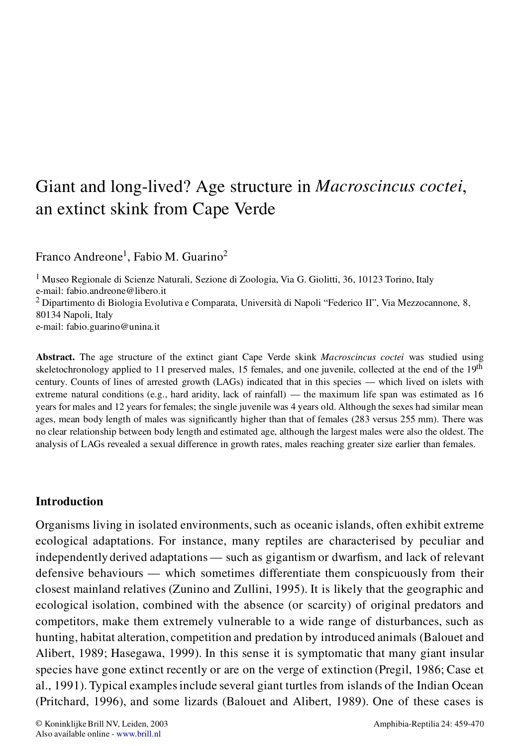# Giant and long-lived? Age structure in *Macroscincus coctei*, an extinct skink from Cape Verde

Franco Andreone<sup>1</sup>, Fabio M. Guarino<sup>2</sup>

<sup>1</sup> Museo Regionale di Scienze Naturali, Sezione di Zoologia, Via G. Giolitti, 36, 10123 Torino, Italy e-mail: fabio.andreone@libero.it<br><sup>2</sup> Dipartimento di Biologia Evolutiva e Comparata, Università di Napoli "Federico II", Via Mezzocannone, 8, 80134 Napoli, Italy e-mail: fabio.guarino@unina.it

**Abstract.** The age structure of the extinct giant Cape Verde skink *Macroscincus coctei* was studied using skeletochronology applied to 11 preserved males, 15 females, and one juvenile, collected at the end of the 19<sup>th</sup> century. Counts of lines of arrested growth (LAGs) indicated that in this species — which lived on islets with extreme natural conditions (e.g., hard aridity, lack of rainfall) — the maximum life span was estimated as 16 years for males and 12 years for females; the single juvenile was 4 years old. Although the sexes had similar mean ages, mean body length of males was significantly higher than that of females (283 versus 255 mm). There was no clear relationship between body length and estimated age, although the largest males were also the oldest. The analysis of LAGs revealed a sexual difference in growth rates, males reaching greater size earlier than females.

## **Introduction**

Organisms living in isolated environments, such as oceanic islands, often exhibit extreme ecological adaptations. For instance, many reptiles are characterised by peculiar and independently derived adaptations  $-\text{ such as}$  gigantism or dwarfism, and lack of relevant defensive behaviours — which sometimes differentiate them conspicuously from their closest mainland relatives (Zunino and Zullini, 1995). It is likely that the geographic and ecological isolation, combined with the absence (or scarcity) of original predators and competitors, make them extremely vulnerable to a wide range of disturbances, such as hunting, habitat alteration, competition and predation by introduced animals (Balouet and Alibert, 1989; Hasegawa, 1999). In this sense it is symptomatic that many giant insular species have gone extinct recently or are on the verge of extinction (Pregil, 1986; Case et al., 1991). Typical examplesinclude several giant turtles from islands of the Indian Ocean (Pritchard, 1996), and some lizards (Balouet and Alibert, 1989). One of these cases is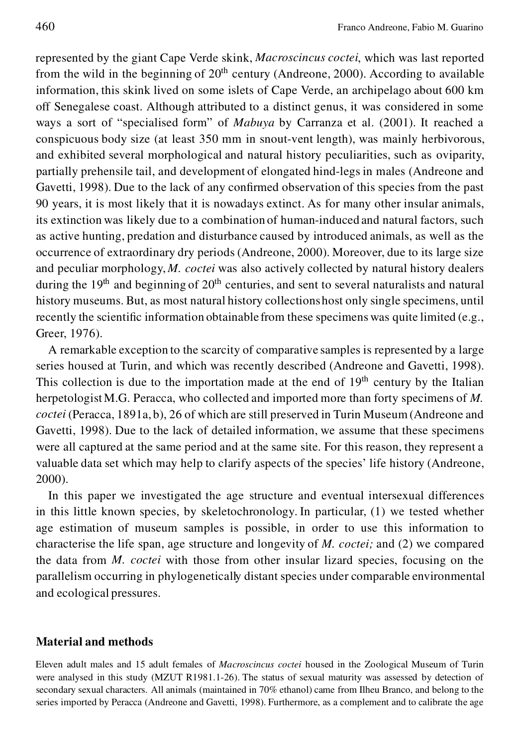represented by the giant Cape Verde skink, *Macroscincus coctei*, which was last reported from the wild in the beginning of  $20<sup>th</sup>$  century (Andreone, 2000). According to available information, this skink lived on some islets of Cape Verde, an archipelago about 600 km off Senegalese coast. Although attributed to a distinct genus, it was considered in some ways a sort of "specialised form" of *Mabuya* by Carranza et al. (2001). It reached a conspicuous body size (at least 350 mm in snout-vent length), was mainly herbivorous, and exhibited several morphological and natural history peculiarities, such as oviparity, partially prehensile tail, and development of elongated hind-legs in males (Andreone and Gavetti, 1998). Due to the lack of any confirmed observation of this species from the past 90 years, it is most likely that it is nowadays extinct. As for many other insular animals, its extinction was likely due to a combination of human-induced and natural factors, such as active hunting, predation and disturbance caused by introduced animals, as well as the occurrence of extraordinary dry periods (Andreone, 2000). Moreover, due to its large size and peculiar morphology, *M. coctei* was also actively collected by natural history dealers during the  $19<sup>th</sup>$  and beginning of  $20<sup>th</sup>$  centuries, and sent to several naturalists and natural history museums. But, as most natural history collectionshost only single specimens, until recently the scientific information obtainable from these specimens was quite limited (e.g., Greer, 1976).

A remarkable exception to the scarcity of comparative samples is represented by a large series housed at Turin, and which was recently described (Andreone and Gavetti, 1998). This collection is due to the importation made at the end of  $19<sup>th</sup>$  century by the Italian herpetologist M.G. Peracca, who collected and imported more than forty specimens of M. *coctei* (Peracca, 1891a, b), 26 of which are still preserved in Turin Museum (Andreone and Gavetti, 1998). Due to the lack of detailed information, we assume that these specimens were all captured at the same period and at the same site. For this reason, they represent a valuable data set which may help to clarify aspects of the species' life history (Andreone, 2000).

In this paper we investigated the age structure and eventual intersexual differences in this little known species, by skeletochronology. In particular, (1) we tested whether age estimation of museum samples is possible, in order to use this information to characterise the life span, age structure and longevity of *M. coctei;* and (2) we compared the data from *M. coctei* with those from other insular lizard species, focusing on the parallelism occurring in phylogenetically distant species under comparable environmental and ecological pressures.

#### **Material and methods**

Eleven adult males and 15 adult females of *Macroscincus coctei* housed in the Zoological Museum of Turin were analysed in this study (MZUT R1981.1-26). The status of sexual maturity was assessed by detection of secondary sexual characters. All animals (maintained in 70% ethanol) came from Ilheu Branco, and belong to the series imported by Peracca (Andreone and Gavetti, 1998). Furthermore, as a complement and to calibrate the age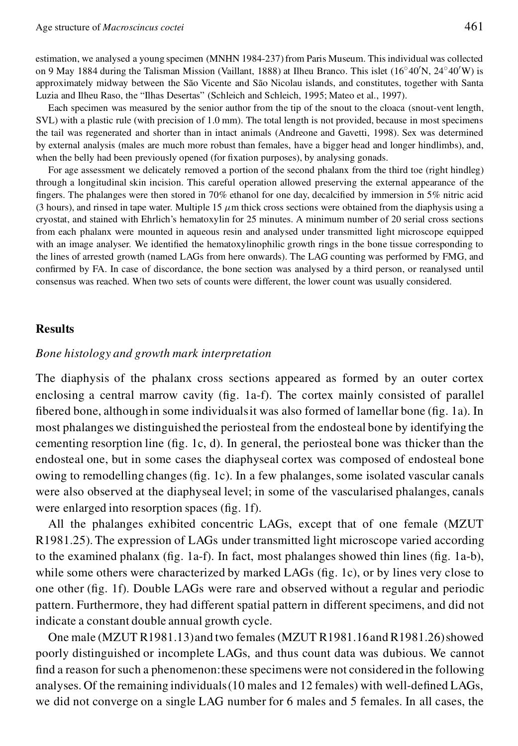estimation, we analysed a young specimen (MNHN 1984-237) from Paris Museum. This individual was collected on 9 May 1884 during the Talisman Mission (Vaillant, 1888) at Ilheu Branco. This islet  $(16°40'N, 24°40'W)$  is approximately midway between the São Vicente and São Nicolau islands, and constitutes, together with Santa Luzia and Ilheu Raso, the "Ilhas Desertas" (Schleich and Schleich, 1995; Mateo et al., 1997).

Each specimen was measured by the senior author from the tip of the snout to the cloaca (snout-vent length, SVL) with a plastic rule (with precision of 1.0 mm). The total length is not provided, because in most specimens the tail was regenerated and shorter than in intact animals (Andreone and Gavetti, 1998). Sex was determined by external analysis (males are much more robust than females, have a bigger head and longer hindlimbs), and, when the belly had been previously opened (for fixation purposes), by analysing gonads.

For age assessment we delicately removed a portion of the second phalanx from the third toe (right hindleg) through a longitudinal skin incision. This careful operation allowed preserving the external appearance of the fingers. The phalanges were then stored in  $70\%$  ethanol for one day, decalcified by immersion in  $5\%$  nitric acid (3 hours), and rinsed in tape water. Multiple 15  $\mu$ m thick cross sections were obtained from the diaphysis using a cryostat, and stained with Ehrlich's hematoxylin for 25 minutes. A minimum number of 20 serial cross sections from each phalanx were mounted in aqueous resin and analysed under transmitted light microscope equipped with an image analyser. We identified the hematoxylinophilic growth rings in the bone tissue corresponding to the lines of arrested growth (named LAGs from here onwards). The LAG counting was performed by FMG, and confirmed by FA. In case of discordance, the bone section was analysed by a third person, or reanalysed until consensus was reached. When two sets of counts were different, the lower count was usually considered.

### **Results**

#### *Bone histology and growth mark interpretation*

The diaphysis of the phalanx cross sections appeared as formed by an outer cortex enclosing a central marrow cavity ( $fig. 1a-f$ ). The cortex mainly consisted of parallel fibered bone, although in some individuals it was also formed of lamellar bone ( $\text{fig}$ , 1a). In most phalanges we distinguished the periosteal from the endosteal bone by identifying the cementing resorption line ( $\text{fig. 1c, d}$ ). In general, the periosteal bone was thicker than the endosteal one, but in some cases the diaphyseal cortex was composed of endosteal bone owing to remodelling changes ( $fig. 1c$ ). In a few phalanges, some isolated vascular canals were also observed at the diaphyseal level; in some of the vascularised phalanges, canals were enlarged into resorption spaces (fig. 1f).

All the phalanges exhibited concentric LAGs, except that of one female (MZUT R1981.25). The expression of LAGs under transmitted light microscope varied according to the examined phalanx ( $fig. 1a-f$ ). In fact, most phalanges showed thin lines ( $fig. 1a-b$ ), while some others were characterized by marked LAGs ( $fig. 1c$ ), or by lines very close to one other (fig. 1f). Double LAGs were rare and observed without a regular and periodic pattern. Furthermore, they had different spatial pattern in different specimens, and did not indicate a constant double annual growth cycle.

One male (MZUT R1981.13) and two females (MZUT R1981.16and R1981.26) showed poorly distinguished or incomplete LAGs, and thus count data was dubious. We cannot find a reason for such a phenomenon: these specimens were not considered in the following analyses. Of the remaining individuals  $(10 \text{ males and } 12 \text{ females})$  with well-defined LAGs, we did not converge on a single LAG number for 6 males and 5 females. In all cases, the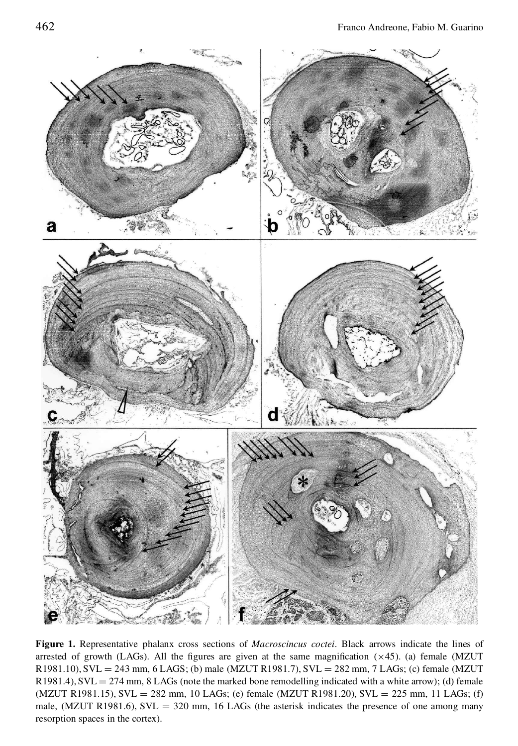

**Figure 1.** Representative phalanx cross sections of *Macroscincus coctei*. Black arrows indicate the lines of arrested of growth (LAGs). All the figures are given at the same magnification  $(\times 45)$ . (a) female (MZUT  $R1981.10$ ),  $SVL = 243$  mm, 6 LAGS; (b) male (MZUT R1981.7),  $SVL = 282$  mm, 7 LAGs; (c) female (MZUT  $R1981.4$ ),  $SVL = 274$  mm, 8 LAGs (note the marked bone remodelling indicated with a white arrow); (d) female  $(MZUT R1981.15)$ ,  $SVL = 282$  mm, 10 LAGs; (e) female  $(MZUT R1981.20)$ ,  $SVL = 225$  mm, 11 LAGs; (f) male, (MZUT R1981.6),  $SVL = 320$  mm, 16 LAGs (the asterisk indicates the presence of one among many resorption spaces in the cortex).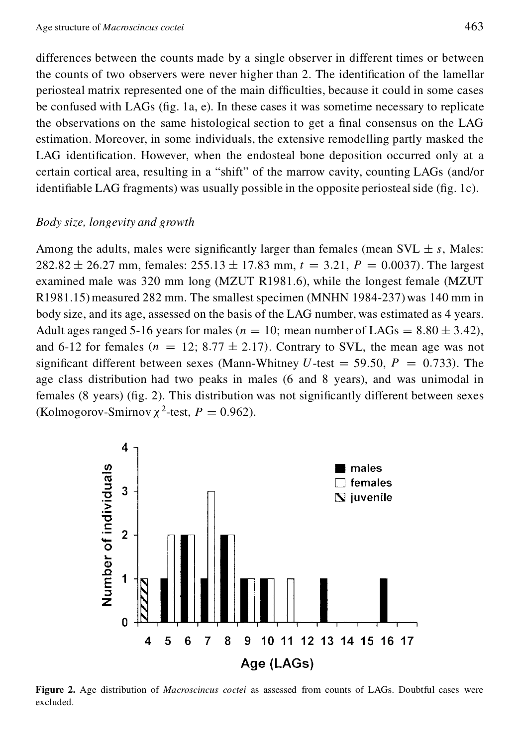differences between the counts made by a single observer in different times or between the counts of two observers were never higher than 2. The identification of the lamellar periosteal matrix represented one of the main difficulties, because it could in some cases be confused with LAGs ( $fig. 1a, e$ ). In these cases it was sometime necessary to replicate the observations on the same histological section to get a final consensus on the LAG estimation. Moreover, in some individuals, the extensive remodelling partly masked the LAG identification. However, when the endosteal bone deposition occurred only at a certain cortical area, resulting in a "shift" of the marrow cavity, counting LAGs (and/or identifiable LAG fragments) was usually possible in the opposite periosteal side ( $fig. 1c$ ).

#### *Body size, longevity and growth*

Among the adults, males were significantly larger than females (mean SVL  $\pm s$ , Males: 282.82  $\pm$  26.27 mm, females: 255.13  $\pm$  17.83 mm,  $t = 3.21$ ,  $P = 0.0037$ ). The largest examined male was 320 mm long (MZUT R1981.6), while the longest female (MZUT  $R1981.15$ ) measured 282 mm. The smallest specimen (MNHN 1984-237) was 140 mm in body size, and its age, assessed on the basis of the LAG number, was estimated as 4 years. Adult ages ranged 5-16 years for males ( $n = 10$ ; mean number of LAGs = 8.80  $\pm$  3.42), and 6-12 for females  $(n = 12; 8.77 \pm 2.17)$ . Contrary to SVL, the mean age was not significant different between sexes (Mann-Whitney  $U$ -test = 59.50,  $P = 0.733$ ). The age class distribution had two peaks in males (6 and 8 years), and was unimodal in females  $(8 \text{ years})$  (fig. 2). This distribution was not significantly different between sexes (Kolmogorov-Smirnov  $\chi^2$ -test,  $P = 0.962$ ).



**Figure 2.** Age distribution of *Macroscincus coctei* as assessed from counts of LAGs. Doubtful cases were excluded.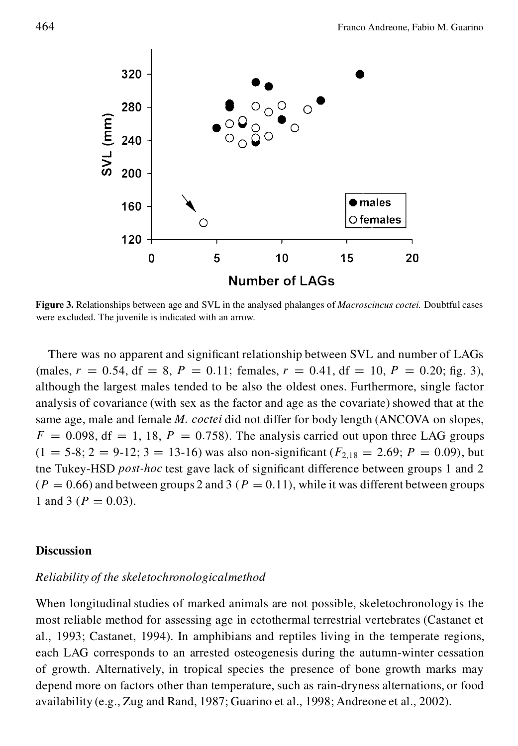

**Figure 3.** Relationships between age and SVL in the analysed phalanges of *Macroscincus coctei.* Doubtful cases were excluded. The juvenile is indicated with an arrow.

There was no apparent and significant relationship between SVL and number of LAGs (males,  $r = 0.54$ , df = 8, P = 0.11; females,  $r = 0.41$ , df = 10, P = 0.20; fig. 3), although the largest males tended to be also the oldest ones. Furthermore, single factor analysis of covariance (with sex as the factor and age as the covariate) showed that at the same age, male and female *M. coctei* did not differ for body length (ANCOVA on slopes,  $F = 0.098$ , df = 1, 18,  $P = 0.758$ . The analysis carried out upon three LAG groups  $(1 = 5-8; 2 = 9-12; 3 = 13-16)$  was also non-significant  $(F_{2,18} = 2.69; P = 0.09)$ , but the Tukey-HSD *post-hoc* test gave lack of significant difference between groups 1 and 2  $(P = 0.66)$  and between groups 2 and 3  $(P = 0.11)$ , while it was different between groups 1 and 3 ( $P = 0.03$ ).

#### **Discussion**

#### *Reliability of the skeletochronologicalmethod*

When longitudinal studies of marked animals are not possible, skeletochronology is the most reliable method for assessing age in ectothermal terrestrial vertebrates (Castanet et al., 1993; Castanet, 1994). In amphibians and reptiles living in the temperate regions, each LAG corresponds to an arrested osteogenesis during the autumn-winter cessation of growth. Alternatively, in tropical species the presence of bone growth marks may depend more on factors other than temperature, such as rain-dryness alternations, or food availability (e.g., Zug and Rand, 1987; Guarino et al., 1998; Andreone et al., 2002).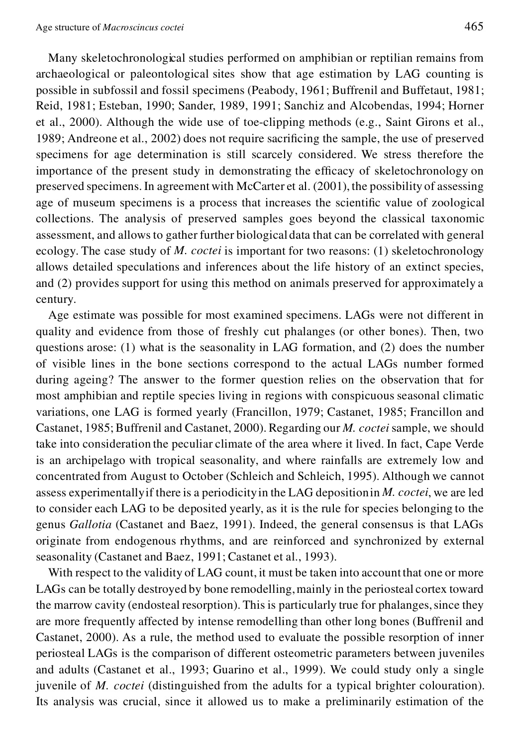Many skeletochronological studies performed on amphibian or reptilian remains from archaeological or paleontological sites show that age estimation by LAG counting is possible in subfossil and fossil specimens (Peabody, 1961; Buffrenil and Buffetaut, 1981; Reid, 1981; Esteban, 1990; Sander, 1989, 1991; Sanchiz and Alcobendas, 1994; Horner et al., 2000). Although the wide use of toe-clipping methods (e.g., Saint Girons et al., 1989; Andreone et al., 2002) does not require sacrificing the sample, the use of preserved specimens for age determination is still scarcely considered. We stress therefore the importance of the present study in demonstrating the efficacy of skeletochronology on preserved specimens. In agreement with McCarter et al. (2001), the possibility of assessing age of museum specimens is a process that increases the scientific value of zoological collections. The analysis of preserved samples goes beyond the classical taxonomic assessment, and allows to gather further biologicaldata that can be correlated with general ecology. The case study of *M. coctei* is important for two reasons: (1) skeletochronology allows detailed speculations and inferences about the life history of an extinct species, and (2) provides support for using this method on animals preserved for approximately a century.

Age estimate was possible for most examined specimens. LAGs were not different in quality and evidence from those of freshly cut phalanges (or other bones). Then, two questions arose: (1) what is the seasonality in LAG formation, and (2) does the number of visible lines in the bone sections correspond to the actual LAGs number formed during ageing? The answer to the former question relies on the observation that for most amphibian and reptile species living in regions with conspicuous seasonal climatic variations, one LAG is formed yearly (Francillon, 1979; Castanet, 1985; Francillon and Castanet, 1985;Buffrenil and Castanet, 2000). Regarding our *M. coctei* sample, we should take into consideration the peculiar climate of the area where it lived. In fact, Cape Verde is an archipelago with tropical seasonality, and where rainfalls are extremely low and concentrated from August to October (Schleich and Schleich, 1995). Although we cannot assess experimentallyif there is a periodicityin the LAG depositionin *M. coctei*, we are led to consider each LAG to be deposited yearly, as it is the rule for species belonging to the genus *Gallotia* (Castanet and Baez, 1991). Indeed, the general consensus is that LAGs originate from endogenous rhythms, and are reinforced and synchronized by external seasonality (Castanet and Baez, 1991; Castanet et al., 1993).

With respect to the validity of LAG count, it must be taken into account that one or more LAGs can be totally destroyed by bone remodelling, mainly in the periosteal cortex toward the marrow cavity (endosteal resorption). This is particularly true for phalanges, since they are more frequently affected by intense remodelling than other long bones (Buffrenil and Castanet, 2000). As a rule, the method used to evaluate the possible resorption of inner periosteal LAGs is the comparison of different osteometric parameters between juveniles and adults (Castanet et al., 1993; Guarino et al., 1999). We could study only a single juvenile of *M. coctei* (distinguished from the adults for a typical brighter colouration). Its analysis was crucial, since it allowed us to make a preliminarily estimation of the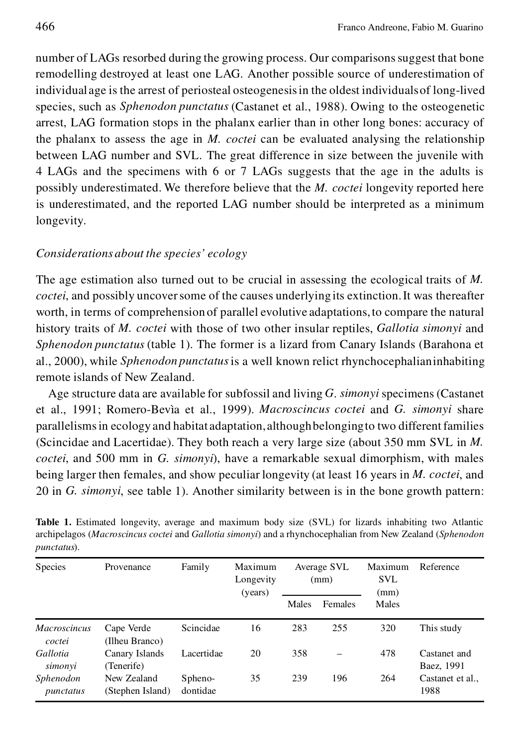number of LAGs resorbed during the growing process. Our comparisonssuggest that bone remodelling destroyed at least one LAG. Another possible source of underestimation of individual age is the arrest of periosteal osteogenesisin the oldest individualsof long-lived species, such as *Sphenodon punctatus* (Castanet et al., 1988). Owing to the osteogenetic arrest, LAG formation stops in the phalanx earlier than in other long bones: accuracy of the phalanx to assess the age in *M. coctei* can be evaluated analysing the relationship between LAG number and SVL. The great difference in size between the juvenile with 4 LAGs and the specimens with 6 or 7 LAGs suggests that the age in the adults is possibly underestimated. We therefore believe that the *M. coctei* longevity reported here is underestimated, and the reported LAG number should be interpreted as a minimum longevity.

#### *Considerations about the species' ecology*

The age estimation also turned out to be crucial in assessing the ecological traits of *M. coctei*, and possibly uncover some of the causes underlying its extinction. It was thereafter worth, in terms of comprehension of parallel evolutive adaptations,to compare the natural history traits of *M. coctei* with those of two other insular reptiles, *Gallotia simonyi* and *Sphenodon punctatus* (table 1). The former is a lizard from Canary Islands (Barahona et al., 2000), while *Sphenodon punctatus*is a well known relict rhynchocephalianinhabiting remote islands of New Zealand.

Age structure data are available for subfossil and living *G*. *simonyi* specimens (Castanet et al., 1991; Romero-Bevìa et al., 1999). *Macroscincus coctei* and *G. simonyi* share parallelismsin ecology and habitat adaptation,althoughbelongingto two different families (Scincidae and Lacertidae). They both reach a very large size (about 350 mm SVL in *M. coctei*, and 500 mm in *G. simonyi*), have a remarkable sexual dimorphism, with males being larger then females, and show peculiar longevity (at least 16 years in *M. coctei*, and 20 in *G. simonyi*, see table 1). Another similarity between is in the bone growth pattern:

| <b>Species</b>                | Provenance                      | Family              | Maximum<br>Longevity<br>(years) | Average SVL<br>(mm) |         | Maximum<br>SVL<br>(mm) | Reference                  |
|-------------------------------|---------------------------------|---------------------|---------------------------------|---------------------|---------|------------------------|----------------------------|
|                               |                                 |                     |                                 | Males               | Females | Males                  |                            |
| <b>Macroscincus</b><br>coctei | Cape Verde<br>(Ilheu Branco)    | Scincidae           | 16                              | 283                 | 255     | 320                    | This study                 |
| Gallotia<br>simonyi           | Canary Islands<br>(Tenerife)    | Lacertidae          | 20                              | 358                 |         | 478                    | Castanet and<br>Baez, 1991 |
| Sphenodon<br>punctatus        | New Zealand<br>(Stephen Island) | Spheno-<br>dontidae | 35                              | 239                 | 196     | 264                    | Castanet et al<br>1988     |

**Table 1.** Estimated longevity, average and maximum body size (SVL) for lizards inhabiting two Atlantic archipelagos (*Macroscincus coctei* and *Gallotia simonyi*) and a rhynchocephalian from New Zealand (*Sphenodon punctatus*).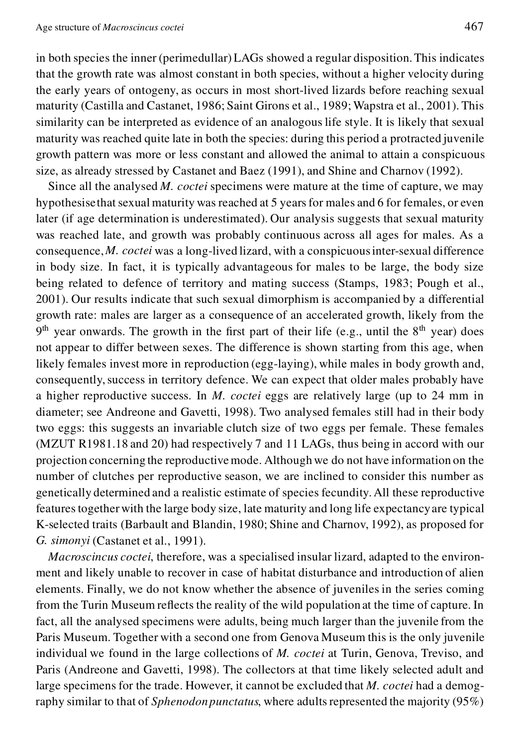in both species the inner (perimedullar) LAGs showed a regular disposition.This indicates that the growth rate was almost constant in both species, without a higher velocity during the early years of ontogeny, as occurs in most short-lived lizards before reaching sexual maturity (Castilla and Castanet, 1986; Saint Girons et al., 1989; Wapstra et al., 2001). This similarity can be interpreted as evidence of an analogouslife style. It is likely that sexual maturity was reached quite late in both the species: during this period a protracted juvenile growth pattern was more or less constant and allowed the animal to attain a conspicuous size, as already stressed by Castanet and Baez (1991), and Shine and Charnov (1992).

Since all the analysed *M. coctei* specimens were mature at the time of capture, we may hypothesise that sexual maturity was reached at 5 years for males and 6 for females, or even later (if age determination is underestimated). Our analysis suggests that sexual maturity was reached late, and growth was probably continuous across all ages for males. As a consequence,*M. coctei* was a long-lived lizard, with a conspicuousinter-sexual difference in body size. In fact, it is typically advantageous for males to be large, the body size being related to defence of territory and mating success (Stamps, 1983; Pough et al., 2001). Our results indicate that such sexual dimorphism is accompanied by a differential growth rate: males are larger as a consequence of an accelerated growth, likely from the  $9<sup>th</sup>$  year onwards. The growth in the first part of their life (e.g., until the  $8<sup>th</sup>$  year) does not appear to differ between sexes. The difference is shown starting from this age, when likely females invest more in reproduction (egg-laying), while males in body growth and, consequently, success in territory defence. We can expect that older males probably have a higher reproductive success. In *M. coctei* eggs are relatively large (up to 24 mm in diameter; see Andreone and Gavetti, 1998). Two analysed females still had in their body two eggs: this suggests an invariable clutch size of two eggs per female. These females (MZUT R1981.18 and 20) had respectively 7 and 11 LAGs, thus being in accord with our projection concerning the reproductivemode. Although we do not have information on the number of clutches per reproductive season, we are inclined to consider this number as genetically determined and a realistic estimate of species fecundity. All these reproductive featurestogetherwith the large body size, late maturity and long life expectancyare typical K-selected traits (Barbault and Blandin, 1980; Shine and Charnov, 1992), as proposed for *G. simonyi* (Castanet et al., 1991).

*Macroscincus coctei*, therefore, was a specialised insular lizard, adapted to the environment and likely unable to recover in case of habitat disturbance and introduction of alien elements. Finally, we do not know whether the absence of juveniles in the series coming from the Turin Museum reflects the reality of the wild population at the time of capture. In fact, all the analysed specimens were adults, being much larger than the juvenile from the Paris Museum. Together with a second one from Genova Museum this is the only juvenile individual we found in the large collections of *M. coctei* at Turin, Genova, Treviso, and Paris (Andreone and Gavetti, 1998). The collectors at that time likely selected adult and large specimens for the trade. However, it cannot be excluded that *M. coctei* had a demography similar to that of *Sphenodonpunctatus*, where adultsrepresented the majority (95%)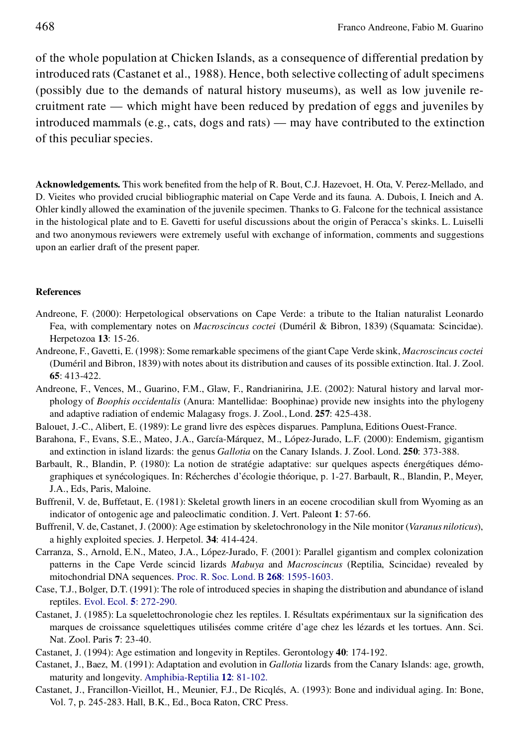of the whole population at Chicken Islands, as a consequence of differential predation by introduced rats (Castanet et al., 1988). Hence, both selective collecting of adult specimens (possibly due to the demands of natural history museums), as well as low juvenile recruitment rate — which might have been reduced by predation of eggs and juveniles by introduced mammals (e.g., cats, dogs and rats) — may have contributed to the extinction of this peculiar species.

Acknowledgements. This work benefited from the help of R. Bout, C.J. Hazevoet, H. Ota, V. Perez-Mellado, and D. Vieites who provided crucial bibliographic material on Cape Verde and its fauna. A. Dubois, I. Ineich and A. Ohler kindly allowed the examination of the juvenile specimen. Thanks to G. Falcone for the technical assistance in the histological plate and to E. Gavetti for useful discussions about the origin of Peracca's skinks. L. Luiselli and two anonymous reviewers were extremely useful with exchange of information, comments and suggestions upon an earlier draft of the present paper.

#### **References**

- Andreone, F. (2000): Herpetological observations on Cape Verde: a tribute to the Italian naturalist Leonardo Fea, with complementary notes on *Macroscincus coctei* (Duméril & Bibron, 1839) (Squamata: Scincidae). Herpetozoa **13**: 15-26.
- Andreone, F., Gavetti, E. (1998): Some remarkable specimens of the giant Cape Verde skink, *Macroscincus coctei* (Duméril and Bibron, 1839) with notes about its distribution and causes of its possible extinction. Ital. J. Zool. **65**: 413-422.
- Andreone, F., Vences, M., Guarino, F.M., Glaw, F., Randrianirina, J.E. (2002): Natural history and larval mor phology of *Boophis occidentalis* (Anura: Mantellidae: Boophinae) provide new insights into the phylogeny and adaptive radiation of endemic Malagasy frogs. J. Zool., Lond. **257**: 425-438.
- Balouet, J.-C., Alibert, E. (1989): Le grand livre des espèces disparues. Pampluna, Editions Ouest-France.
- Barahona, F., Evans, S.E., Mateo, J.A., García-Márquez, M., López-Jurado, L.F. (2000): Endemism, gigantism and extinction in island lizards: the genus *Gallotia* on the Canary Islands. J. Zool. Lond. **250**: 373-388.
- Barbault, R., Blandin, P. (1980): La notion de stratégie adaptative: sur quelques aspects énergétiques démo graphiques et synécologiques. In: Récherches d'écologie théorique, p. 1-27. Barbault, R., Blandin, P., Meyer, J.A., Eds, Paris, Maloine.
- Buffrenil, V. de, Buffetaut, E. (1981): Skeletal growth liners in an eocene crocodilian skull from Wyoming as an indicator of ontogenic age and paleoclimatic condition. J. Vert. Paleont **1**: 57-66.
- Buffrenil, V. de, Castanet, J. (2000): Age estimation by skeletochronology in the Nile monitor (*Varanus niloticus*), a highly exploited species. J. Herpetol. **34**: 414-424.
- Carranza, S., Arnold, E.N., Mateo, J.A., López-Jurado, F. (2001): Parallel gigantism and complex colonization patterns in the Cape Verde scincid lizards *Mabuya* and *Macroscincus* (Reptilia, Scincidae) revealed by mitochondrial DNA sequences. Proc. R. Soc. Lond. B **268**: [1595-1603.](http://www.ingentaselect.com/rpsv/cgi-bin/linker?ext=a&reqidx=/0962-8452^28^29268L.1595[aid=3222716])
- Case, T.J., Bolger, D.T. (1991): The role of introduced species in shaping the distribution and abundance of island reptiles. Evol. Ecol. **5**: [272-290.](http://www.ingentaselect.com/rpsv/cgi-bin/linker?ext=a&reqidx=/0269-7653^28^295L.272[aid=9188])
- Castanet, J. (1985): La squelettochronologie chez les reptiles. I. Résultats expérimentaux sur la signification des marques de croissance squelettiques utilisées comme critére d'age chez les lézards et les tortues. Ann. Sci. Nat. Zool. Paris **7**: 23-40.
- Castanet, J. (1994): Age estimation and longevity in Reptiles. Gerontology **40**: 174-192.
- Castanet, J., Baez, M. (1991): Adaptation and evolution in *Gallotia* lizards from the Canary Islands: age, growth, maturity and longevity. [Amphibia-Reptilia](http://www.ingentaselect.com/rpsv/cgi-bin/linker?ext=a&reqidx=/0173-5373^28^2912L.81[aid=2713268]) **12**: 81-102.
- Castanet, J., Francillon-Vieillot, H., Meunier, F.J., De Ricqlés, A. (1993): Bone and individual aging. In: Bone, Vol. 7, p. 245-283. Hall, B.K., Ed., Boca Raton, CRC Press.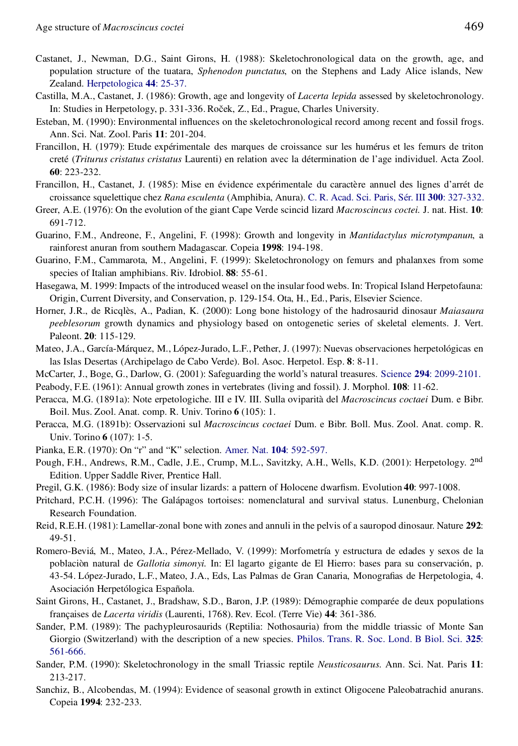- Castanet, J., Newman, D.G., Saint Girons, H. (1988): Skeletochronological data on the growth, age, and population structure of the tuatara, *Sphenodon punctatus*, on the Stephens and Lady Alice islands, New Zealand. [Herpetologica](http://www.ingentaselect.com/rpsv/cgi-bin/linker?ext=a&reqidx=/0018-0831^28^2944L.25[aid=2713269]) **44**: 25-37.
- Castilla, M.A., Castanet, J. (1986): Growth, age and longevity of *Lacerta lepida* assessed by skeletochronology. In: Studies in Herpetology, p. 331-336. Roček, Z., Ed., Prague, Charles University.
- Esteban, M. (1990): Environmental influences on the skeletochronological record among recent and fossil frogs. Ann. Sci. Nat. Zool. Paris **11**: 201-204.
- Francillon, H. (1979): Etude expérimentale des marques de croissance sur les humérus et les femurs de triton creté (*Triturus cristatus cristatus* Laurenti) en relation avec la détermination de l'age individuel. Acta Zool. **60**: 223-232.
- Francillon, H., Castanet, J. (1985): Mise en évidence expérimentale du caractère annuel des lignes d'arrét de croissance squelettique chez *Rana esculenta* (Amphibia, Anura). C. R. Acad. Sci. Paris, Sér. III **300**: [327-332.](http://www.ingentaselect.com/rpsv/cgi-bin/linker?ext=a&reqidx=/0764-4469^28^29300L.327[aid=5548995])
- Greer, A.E. (1976): On the evolution of the giant Cape Verde scincid lizard *Macroscincus coctei.* J. nat. Hist. **10**: 691-712.
- Guarino, F.M., Andreone, F., Angelini, F. (1998): Growth and longevity in *Mantidactylus microtympanun*, a rainforest anuran from southern Madagascar. Copeia **1998**: 194-198.
- Guarino, F.M., Cammarota, M., Angelini, F. (1999): Skeletochronology on femurs and phalanxes from some species of Italian amphibians. Riv. Idrobiol. **88**: 55-61.
- Hasegawa, M. 1999: Impacts of the introduced weasel on the insular food webs. In: Tropical Island Herpetofauna: Origin, Current Diversity, and Conservation, p. 129-154. Ota, H., Ed., Paris, Elsevier Science.
- Horner, J.R., de Ricqlès, A., Padian, K. (2000): Long bone histology of the hadrosaurid dinosaur *Maiasaura peeblesorum* growth dynamics and physiology based on ontogenetic series of skeletal elements. J. Vert. Paleont. **20**: 115-129.
- Mateo, J.A., García-Márquez, M., López-Jurado, L.F., Pether, J. (1997): Nuevas observaciones herpetológicas en las Islas Desertas (Archipelago de Cabo Verde). Bol. Asoc. Herpetol. Esp. **8**: 8-11.
- McCarter, J., Boge, G., Darlow, G. (2001): Safeguarding the world's natural treasures. Science **294**: [2099-2101.](http://www.ingentaselect.com/rpsv/cgi-bin/linker?ext=a&reqidx=/0036-8075^28^29294L.2099[aid=5548999])
- Peabody, F.E. (1961): Annual growth zones in vertebrates (living and fossil). J. Morphol. **108**: 11-62.
- Peracca, M.G. (1891a): Note erpetologiche. III e IV. III. Sulla oviparità del *Macroscincus coctaei* Dum. e Bibr. Boil. Mus. Zool. Anat. comp. R. Univ. Torino **6** (105): 1.
- Peracca, M.G. (1891b): Osservazioni sul *Macroscincus coctaei* Dum. e Bibr. Boll. Mus. Zool. Anat. comp. R. Univ. Torino **6** (107): 1-5.
- Pianka, E.R. (1970): On "r" and "K" selection. Amer. Nat. **104**: [592-597.](http://www.ingentaselect.com/rpsv/cgi-bin/linker?ext=a&reqidx=/0003-0147^28^29104L.592[aid=3336607])
- Pough, F.H., Andrews, R.M., Cadle, J.E., Crump, M.L., Savitzky, A.H., Wells, K.D. (2001): Herpetology. 2<sup>nd</sup> Edition. Upper Saddle River, Prentice Hall.
- Pregil, G.K. (1986): Body size of insular lizards: a pattern of Holocene dwarfism. Evolution 40: 997-1008.
- Pritchard, P.C.H. (1996): The Galápagos tortoises: nomenclatural and survival status. Lunenburg, Chelonian Research Foundation.
- Reid, R.E.H. (1981): Lamellar-zonal bone with zones and annuli in the pelvis of a sauropod dinosaur. Nature **292**: 49-51.
- Romero-Beviá, M., Mateo, J.A., Pérez-Mellado, V. (1999): Morfometría y estructura de edades y sexos de la poblaciòn natural de *Gallotia simonyi.* In: El lagarto gigante de El Hierro: bases para su conservación, p. 43-54. López-Jurado, L.F., Mateo, J.A., Eds, Las Palmas de Gran Canaria, Monografias de Herpetologia, 4. Asociación Herpetólogica Española.
- Saint Girons, H., Castanet, J., Bradshaw, S.D., Baron, J.P. (1989): Démographie comparée de deux populations françaises de *Lacerta viridis* (Laurenti, 1768). Rev. Ecol. (Terre Vie) **44**: 361-386.
- Sander, P.M. (1989): The pachypleurosaurids (Reptilia: Nothosauria) from the middle triassic of Monte San Giorgio (Switzerland) with the description of a new species. [Philos.](http://www.ingentaselect.com/rpsv/cgi-bin/linker?ext=a&reqidx=/0962-8436^28^29325L.561[aid=5549003]) Trans. R. Soc. Lond. B Biol. Sci. **325**: [561-666.](http://www.ingentaselect.com/rpsv/cgi-bin/linker?ext=a&reqidx=/0962-8436^28^29325L.561[aid=5549003])
- Sander, P.M. (1990): Skeletochronology in the small Triassic reptile *Neusticosaurus.* Ann. Sci. Nat. Paris **11**: 213-217.
- Sanchiz, B., Alcobendas, M. (1994): Evidence of seasonal growth in extinct Oligocene Paleobatrachid anurans. Copeia **1994**: 232-233.